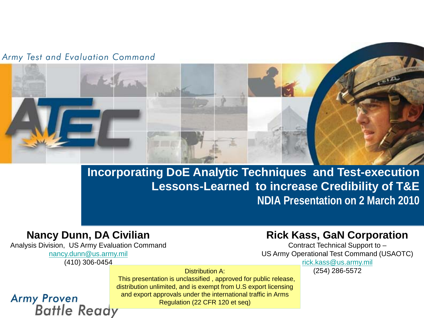#### Army Test and Evaluation Command



**Incorporating DoE Analytic Techniques and Test-execution Lessons-Learned to increase Credibility of T&E NDIA Presentation on 2 March 2010**

## **Nancy Dunn, DA Civilian**

Analysis Division, US Army Evaluation Command

[nancy.dunn@us.army.mil](mailto:nancy.dunn@us.army.mil) (410) 306-0454

## **Rick Kass, GaN Corporation**

Contract Technical Support to – US Army Operational Test Command (USAOTC)

[rick.kass@us.army.mil](mailto:Rick.kass@us.army.mil)

Distribution A: (254) 286-5572 This presentation is unclassified , approved for public release, distribution unlimited, and is exempt from U.S export licensing and export approvals under the international traffic in Arms Regulation (22 CFR 120 et seq)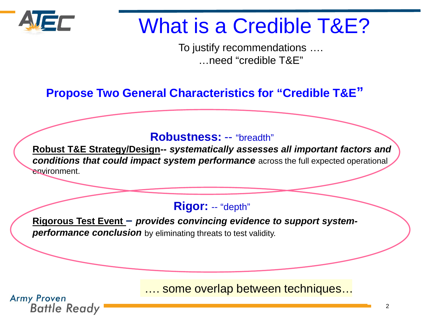

# What is a Credible T&E?

To justify recommendations …. …need "credible T&E"

## **Propose Two General Characteristics for "Credible T&E"**

## **Robustness:** -- "breadth"

**Robust T&E Strategy/Design--** *systematically assesses all important factors and conditions that could impact system performance* across the full expected operational environment.

**Rigor:** -- "depth"

**Rigorous Test Event –** *provides convincing evidence to support system***performance conclusion** by eliminating threats to test validity.

…. some overlap between techniques…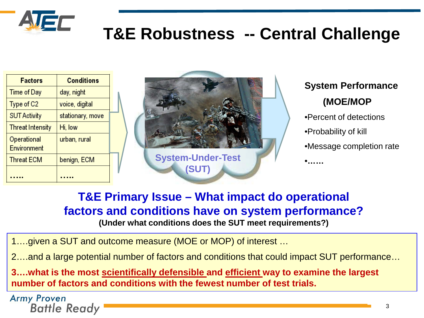

# **T&E Robustness -- Central Challenge**

| <b>Factors</b>             | <b>Conditions</b> |  |
|----------------------------|-------------------|--|
| <b>Time of Day</b>         | day, night        |  |
| Type of C2                 | voice, digital    |  |
| <b>SUT Activity</b>        | stationary, move  |  |
| <b>Threat Intensity</b>    | Hi, low           |  |
| Operational<br>Environment | urban, rural      |  |
| <b>Threat ECM</b>          | benign, ECM       |  |
|                            |                   |  |



## **System Performance (MOE/MOP**

- •Percent of detections
- •Probability of kill
- •Message completion rate

## **T&E Primary Issue – What impact do operational factors and conditions have on system performance? (Under what conditions does the SUT meet requirements?)**

1….given a SUT and outcome measure (MOE or MOP) of interest …

2….and a large potential number of factors and conditions that could impact SUT performance…

**3….what is the most scientifically defensible and efficient way to examine the largest number of factors and conditions with the fewest number of test trials.**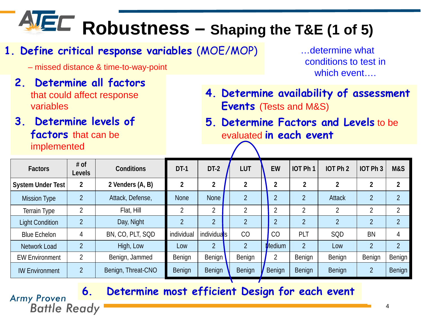# **Robustness – Shaping the T&E (1 of 5)**

- **1. Define critical response variables** (MOE/MOP)
	- missed distance & time-to-way-point
	- **2. Determine all factors** that could affect response variables
	- **3. Determine levels of factors** that can be implemented

…determine what conditions to test in which event….

- **4. Determine availability of assessment Events** (Tests and M&S)
- **5. Determine Factors and Levels** to be evaluated **in each event**

| <b>Factors</b>         | $#$ of<br><b>Levels</b> | Conditions         | $DT-1$      | $DT-2$                   | LUT            | <b>EW</b>      | IOT Ph 1       | IOT Ph <sub>2</sub> | IOT Ph 3       | M&S            |
|------------------------|-------------------------|--------------------|-------------|--------------------------|----------------|----------------|----------------|---------------------|----------------|----------------|
| System Under Test      | 2                       | 2 Venders (A, B)   | ↑           | $\overline{2}$           | $\overline{2}$ | ◠              | ↑              | າ                   | 2              | ◠              |
| <b>Mission Type</b>    | $\overline{2}$          | Attack, Defense,   | <b>None</b> | <b>None</b>              | $\overline{2}$ | $\mathcal{D}$  | $\overline{2}$ | <b>Attack</b>       | $\overline{2}$ |                |
| Terrain Type           | $\overline{2}$          | Flat, Hill         | ↑           | ↑                        | <sup>1</sup>   | ኅ              | $\overline{2}$ | ↑                   | $\overline{2}$ | ↑              |
| <b>Light Condition</b> | $\overline{2}$          | Day, Night         | C.          | <sub>2</sub>             | $\overline{2}$ | <sub>C</sub>   | $\overline{2}$ | <sub>C</sub>        | $\overline{2}$ | ↑              |
| <b>Blue Echelon</b>    | 4                       | BN, CO, PLT, SQD   | individual  | individua <sup>l</sup> s | CO             | CO             | PLT            | SQD                 | <b>BN</b>      | 4              |
| <b>Network Load</b>    | $\overline{2}$          | High, Low          | Low         | $\overline{2}$           | $\overline{2}$ | Medium         | $\overline{2}$ | Low                 | $\overline{2}$ | $\overline{2}$ |
| <b>EW Environment</b>  | 2                       | Benign, Jammed     | Benign      | Benign                   | Benign         | $\overline{2}$ | Benign         | Benign              | Benign         | Benign         |
| <b>IW Environment</b>  | $\overline{2}$          | Benign, Threat-CNO | Benign      | Benign                   | Benign         | Benign         | Benign         | Benign              | $\overline{2}$ | Benign         |

**6. Determine most efficient Design for each event**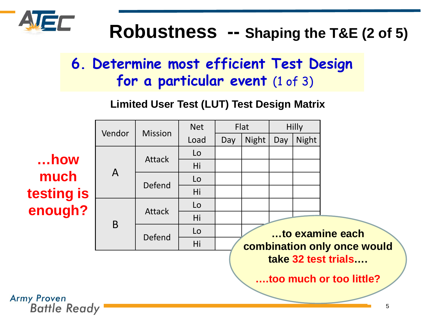

# **Robustness -- Shaping the T&E (2 of 5)**

# **6. Determine most efficient Test Design for a particular event** (1 of 3)

## **Limited User Test (LUT) Test Design Matrix**

|                                    |              |                | <b>Net</b> | Flat |       |              |              |                             |   |
|------------------------------------|--------------|----------------|------------|------|-------|--------------|--------------|-----------------------------|---|
|                                    | Vendor       | <b>Mission</b> |            |      |       | <b>Hilly</b> |              |                             |   |
|                                    |              |                | Load       | Day  | Night | Day          | <b>Night</b> |                             |   |
|                                    |              | <b>Attack</b>  | Lo         |      |       |              |              |                             |   |
| $$ how                             |              |                | Hi         |      |       |              |              |                             |   |
| much                               | $\mathsf{A}$ | Defend         | Lo         |      |       |              |              |                             |   |
| testing is                         |              |                | Hi         |      |       |              |              |                             |   |
| enough?                            | B            | Attack         | Lo         |      |       |              |              |                             |   |
|                                    |              |                | Hi         |      |       |              |              |                             |   |
|                                    |              | Defend         | Lo         |      |       |              |              | to examine each             |   |
|                                    |              |                | Hi         |      |       |              |              | combination only once would |   |
| take 32 test trials                |              |                |            |      |       |              |              |                             |   |
|                                    |              |                |            |      |       |              |              | too much or too little?     |   |
| <b>Army Proven</b><br>Battle Ready |              |                |            |      |       |              |              |                             |   |
|                                    |              |                |            |      |       |              |              |                             | 5 |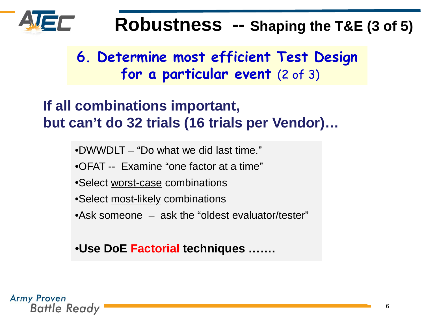

# **6. Determine most efficient Test Design for a particular event** (2 of 3)

# **If all combinations important, but can't do 32 trials (16 trials per Vendor)…**

•DWWDLT – "Do what we did last time."

•OFAT -- Examine "one factor at a time"

- •Select worst-case combinations
- •Select most-likely combinations
- •Ask someone ask the "oldest evaluator/tester"

•**Use DoE Factorial techniques …….**

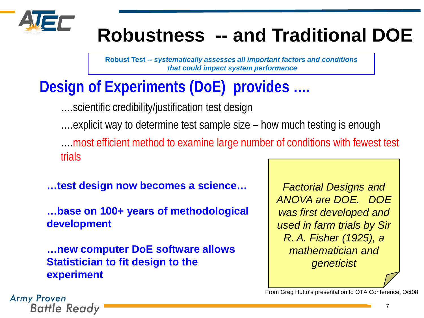

# **Robustness -- and Traditional DOE**

**Robust Test --** *systematically assesses all important factors and conditions that could impact system performance*

# **Design of Experiments (DoE) provides ….**

….scientific credibility/justification test design

….explicit way to determine test sample size – how much testing is enough

….most efficient method to examine large number of conditions with fewest test trials

**…test design now becomes a science…**

**…base on 100+ years of methodological development**

**…new computer DoE software allows Statistician to fit design to the experiment**

*Factorial Designs and ANOVA are DOE. DOE was first developed and used in farm trials by Sir R. A. Fisher (1925), a mathematician and geneticist*

From Greg Hutto's presentation to OTA Conference, Oct08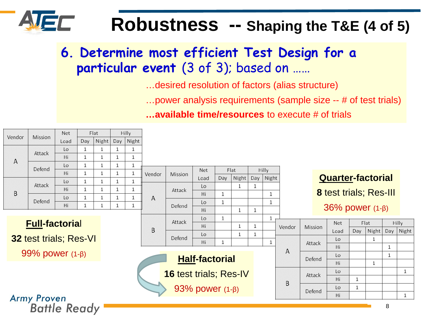

# **Robustness -- Shaping the T&E (4 of 5)**

## **6. Determine most efficient Test Design for a particular event** (3 of 3); based on ……

…desired resolution of factors (alias structure)

- …power analysis requirements (sample size -- # of test trials)
- **…available time/resources** to execute # of trials

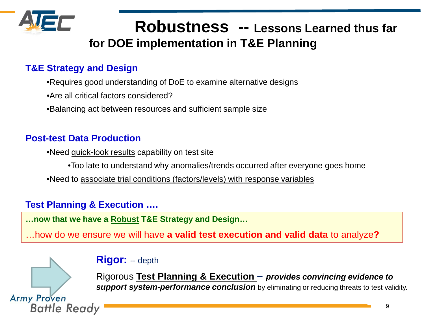

**Army Proven** 

**Battle Ready** 

## **T&E Strategy and Design**

•Requires good understanding of DoE to examine alternative designs

•Are all critical factors considered?

•Balancing act between resources and sufficient sample size

## **Post-test Data Production**

•Need quick-look results capability on test site

•Too late to understand why anomalies/trends occurred after everyone goes home

•Need to associate trial conditions (factors/levels) with response variables

## **Test Planning & Execution ….**

**…now that we have a Robust T&E Strategy and Design…**

…how do we ensure we will have **a valid test execution and valid data** to analyze**?**

## **Rigor:** -- depth

Rigorous **Test Planning & Execution –** *provides convincing evidence to*  **support system-performance conclusion** by eliminating or reducing threats to test validity.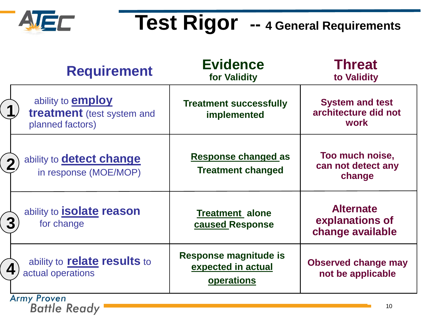

| <b>Requirement</b>                                                              | <b>Evidence</b><br>for Validity                           | <b>Threat</b><br>to Validity                            |
|---------------------------------------------------------------------------------|-----------------------------------------------------------|---------------------------------------------------------|
| ability to <b>employ</b><br>1<br>treatment (test system and<br>planned factors) | <b>Treatment successfully</b><br>implemented              | <b>System and test</b><br>architecture did not<br>work  |
| ability to <b>detect change</b><br>$\overline{2}$<br>in response (MOE/MOP)      | <b>Response changed as</b><br><b>Treatment changed</b>    | Too much noise,<br>can not detect any<br>change         |
| ability to <b>isolate reason</b><br>3<br>for change                             | <b>Treatment alone</b><br>caused Response                 | <b>Alternate</b><br>explanations of<br>change available |
| ability to <b>relate results</b> to<br>4<br>actual operations                   | Response magnitude is<br>expected in actual<br>operations | <b>Observed change may</b><br>not be applicable         |
| <b>Army Proven</b><br><b>Battle Ready</b>                                       |                                                           | 10                                                      |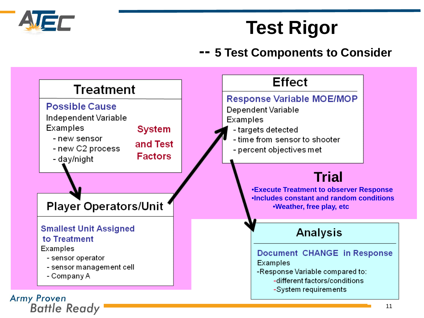

# **Test Rigor**

## **-- 5 Test Components to Consider**

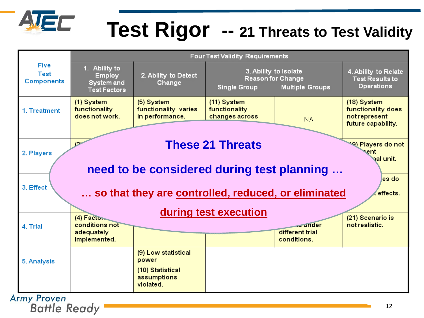

# **Test Rigor -- 21 Threats to Test Validity**

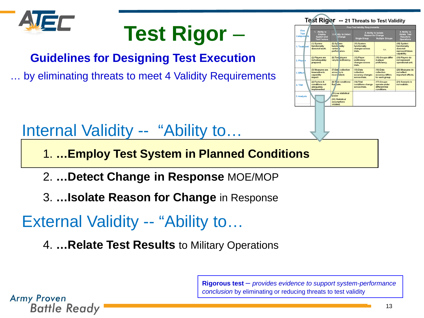

# **Test Rigor** –

## **Guidelines for Designing Test Execution**

… by eliminating threats to meet 4 Validity Requirements

# Internal Validity -- "Ability to…

- 1. **…Employ Test System in Planned Conditions**
- 2. **…Detect Change in Response** MOE/MOP
- 3. **…Isolate Reason for Change** in Response

# External Validity -- "Ability to…

4. **…Relate Test Results** to Military Operations

**Rigorous test** – *provides evidence to support system-performance conclusion* by eliminating or reducing threats to test validity

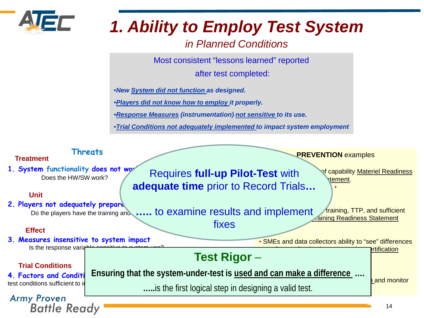

# *1. Ability to Employ Test System*

*in Planned Conditions*

Most consistent "lessons learned" reported after test completed:

•*New System did not function as designed.*

•*Players did not know how to employ it properly.*

•*Response Measures (instrumentation) not sensitive to its use.*

•*Trial Conditions not adequately implemented to impact system employment*

|                                          | Threats |                                                                        | <b>PREVENTION examples</b>                              |
|------------------------------------------|---------|------------------------------------------------------------------------|---------------------------------------------------------|
| <b>Treatment</b>                         |         |                                                                        |                                                         |
| 1. System functionality does not wor     |         |                                                                        | of capability Materiel Readiness                        |
| Does the HW/SW work?                     |         | <b>Requires full-up Pilot-Test with</b>                                | <b>stement.</b>                                         |
|                                          |         | <b>adequate time</b> prior to Record Trials                            |                                                         |
| <b>Unit</b>                              |         |                                                                        |                                                         |
| 2. Players not adequately prepare        |         |                                                                        |                                                         |
|                                          |         | Do the players have the training and  to examine results and implement | training, TTP, and sufficient                           |
|                                          |         |                                                                        | raining Readiness Statement                             |
| <b>Effect</b>                            |         | fixes                                                                  |                                                         |
|                                          |         |                                                                        |                                                         |
| 3. Measures insensitive to system impact |         |                                                                        | • SMEs and data collectors ability to "see" differences |
| ls the response varia                    |         |                                                                        | <b>Intification</b>                                     |
|                                          |         | <b>Test Rigor –</b>                                                    |                                                         |
| <b>Trial Conditions</b>                  |         |                                                                        |                                                         |
| 4. Factors and Conditi                   |         | Ensuring that the system-under-test is used and can make a difference  |                                                         |
| test conditions sufficient to in         |         |                                                                        | and monitor                                             |
|                                          |         | is the first logical step in designing a valid test.                   |                                                         |
| <b>Army Proven</b>                       |         |                                                                        |                                                         |
|                                          |         |                                                                        | 14                                                      |
| <b>Battle Ready</b>                      |         |                                                                        |                                                         |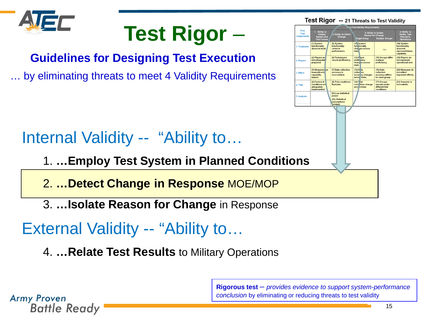

**Rigorous test** – *provides evidence to support system-performance conclusion* by eliminating or reducing threats to test validity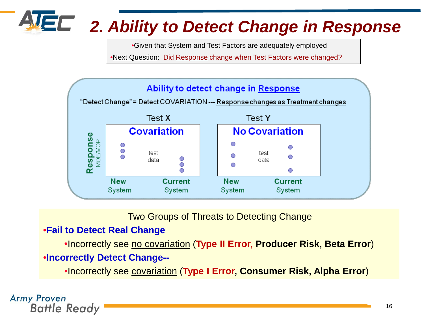

# *2. Ability to Detect Change in Response*

•Given that System and Test Factors are adequately employed

•Next Question: Did Response change when Test Factors were changed?



Two Groups of Threats to Detecting Change

## •**Fail to Detect Real Change**

•Incorrectly see no covariation (**Type II Error, Producer Risk, Beta Error**) •**Incorrectly Detect Change--**

•Incorrectly see covariation (**Type I Error, Consumer Risk, Alpha Error**)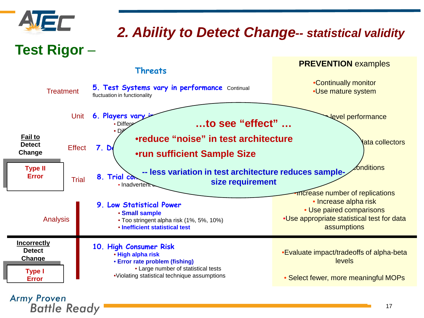

## *2. Ability to Detect Change-- statistical validity*

## **Test Rigor** –

**PREVENTION** examples

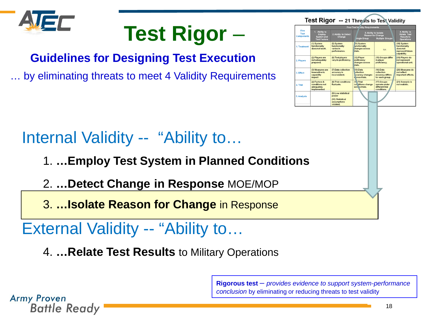

# **Test Rigor** –

## **Guidelines for Designing Test Execution**

… by eliminating threats to meet 4 Validity Requirements

# Internal Validity -- "Ability to…

- 1. **…Employ Test System in Planned Conditions**
- 2. **…Detect Change in Response** MOE/MOP

3. **…Isolate Reason for Change** in Response

# External Validity -- "Ability to…

4. **…Relate Test Results** to Military Operations

**Rigorous test** – *provides evidence to support system-performance conclusion* by eliminating or reducing threats to test validity



Test Rigor -- 21 Threats to Test Validity hinctionality nctionality loes not w anges across performance epresent futur apability. (6) Test players 15) Groups diffe (2) Players an (2) Playe 19) Players do . Player not adequat roficienc anges acro 3) Measures are (7) Data collection 13) Data 16) Data (20) Measures de nsensitive to accuracy is llection ollection ot reflect inconsistent **accuracy differ** curacy che important effect oss trials or each group (4) Factors & 17) Groups (21) Scenario is onditions no fluctuate operate u cre ss trials. different trial (9) Low statistica 5. Analysi: (10) Statistical assumptions **hateloly**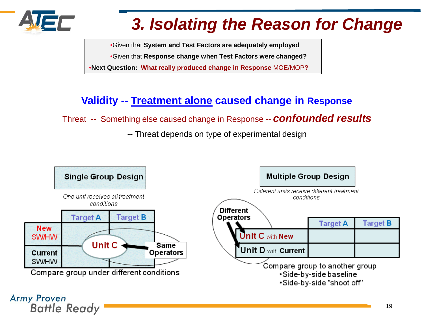

**Battle Ready** 

# *3. Isolating the Reason for Change*

•Given that **System and Test Factors are adequately employed**

•Given that **Response change when Test Factors were changed?**

•**Next Question: What really produced change in Response** MOE/MOP**?**

## **Validity -- Treatment alone caused change in Response**

Threat -- Something else caused change in Response -- *confounded results*

-- Threat depends on type of experimental design

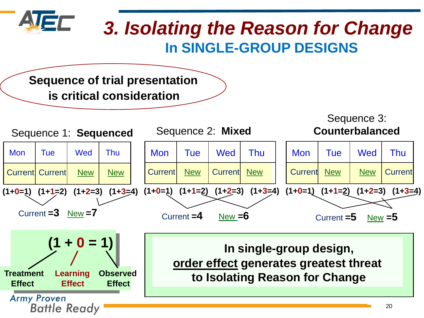

# *3. Isolating the Reason for Change*  **In SINGLE-GROUP DESIGNS**

**Sequence of trial presentation is critical consideration** 

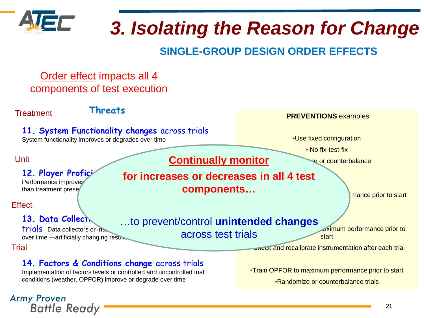

**Army Proven** 

**Battle Ready** 

# *3. Isolating the Reason for Change*

## **SINGLE-GROUP DESIGN ORDER EFFECTS**

## Order effect impacts all 4 components of test execution



Implementation of factors levels or controlled and uncontrolled trial conditions (weather, OPFOR) improve or degrade over time

•Train OPFOR to maximum performance prior to start •Randomize or counterbalance trials

21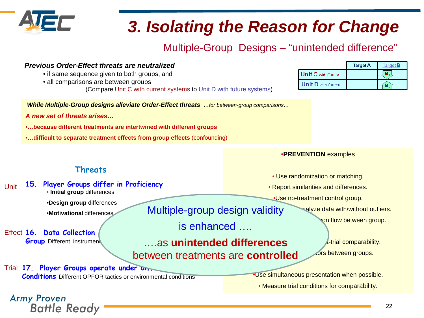

**Battle Ready** 

*Previous Order-Effect threats are neutralized*

# *3. Isolating the Reason for Change*

## Multiple-Group Designs – "unintended difference"

#### • if same sequence given to both groups, and  $B_1$ **Unit C** with Future • all comparisons are between groups **Unit D** with Current  $\left\{ \mathbf{B}\right\}$ (Compare Unit C with current systems to Unit D with future systems) *While Multiple-Group designs alleviate Order-Effect threats …for between-group comparisons… A new set of threats arises…* •**…because different treatments are intertwined with different groups** •**…difficult to separate treatment effects from group effects** (confounding) •**PREVENTION** examples **Threats** • Use randomization or matching. **15. Player Groups differ in Proficiency**  Unit • Report similarities and differences. • **Initial group** differences •Use no-treatment control group. •**Design group** differences Multiple-group design validity alyze data with/without outliers. •**Motivational** differences **Fon flow between group.** is enhanced …. **16. Data Collection Accuracy different in the Collection of the Player Player in the Player of the Player Player in the Player of the Player of the Player of the Player of the Player of the Player of the Player of the Pla Group** Different instrument ….as **unintended differences**  $t$ -trial comparability. ors between groups. between treatments are **controlled**Trial **17. Player Groups operate under an Lewis** •Use simultaneous presentation when possible. **Conditions** Different OPFOR tactics or environmental conditions • Measure trial conditions for comparability. **Army Proven**

**Target A** 

Target **B**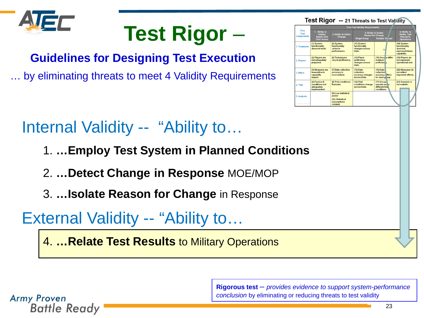

# **Test Rigor** –

## **Guidelines for Designing Test Execution**

… by eliminating threats to meet 4 Validity Requirements

# Internal Validity -- "Ability to…

- 1. **…Employ Test System in Planned Conditions**
- 2. **…Detect Change in Response** MOE/MOP
- 3. **…Isolate Reason for Change** in Response

# External Validity -- "Ability to…

4. **…Relate Test Results** to Military Operations

**Rigorous test** – *provides evidence to support system-performance conclusion* by eliminating or reducing threats to test validity

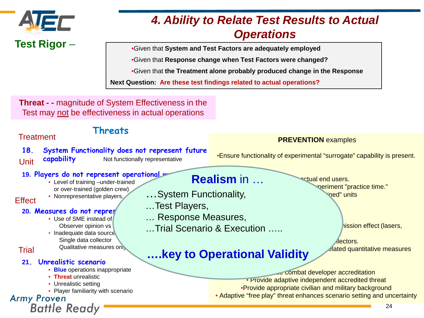

## *4. Ability to Relate Test Results to Actual Operations*

**Test Rigor –** Figure 1 **Figure 1 Figure 1 Figure 1 Figure 1 Figure 1 Figure 1 Figure 1 Figure 1 Figure 1 Figure 1 Figure 1 Figure 1 Figure 1 Figure 1 Figure 1 Figure 1 Figure 1 Figure 1**

•Given that **Response change when Test Factors were changed?**

•Given that **the Treatment alone probably produced change in the Response**

**Next Question: Are these test findings related to actual operations?**

**Threat - -** magnitude of System Effectiveness in the Test may not be effectiveness in actual operations

**Threats**

#### **Treatment**

**18. System Functionality does not represent future capability** Not functionally representative Unit

#### **19. Players do not represent operational warehoused**

- Level of training –under-trained or over-trained (golden crew)
- Nonrepresentative players.

#### **Effect**

#### **20. Measures do not repres**

- $\bullet$  Use of SME instead of Observer opinion vs
- $\bullet$  Inadequate data source Single data collector
- Trial
- Qualitative measures only

#### **21. Unrealistic scenario**

- **Blue** operations inappropriate
- **Threat** unrealistic
- Unrealistic setting
- Player familiarity with scenario<br>Army Proven

**Battle Ready** 

## **Realism** in …

- …System Functionality,
- …Test Players,
- … Response Measures,
- …Trial Scenario & Execution …..

#### **ectual end users. Provide time."** Practice time." ned" units<sup></sup>

hission effect (lasers,

lectors. **Hated quantitative measures** 

## **….key to Operational Validity**

**Frombat developer accreditation** • Provide adaptive independent accredited threat •Provide appropriate civilian and military background • Adaptive "free play" threat enhances scenario setting and uncertainty

**PREVENTION** examples

•Ensure functionality of experimental "surrogate" capability is present.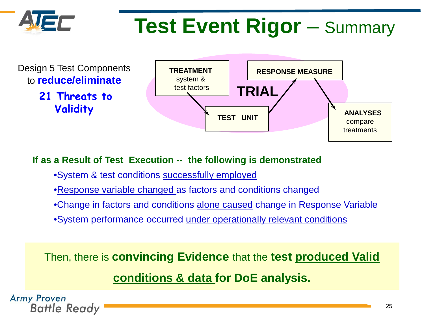

# **Test Event Rigor – Summary**



## **If as a Result of Test Execution -- the following is demonstrated**

- •System & test conditions successfully employed
- •Response variable changed as factors and conditions changed
- •Change in factors and conditions alone caused change in Response Variable
- •System performance occurred under operationally relevant conditions

Then, there is **convincing Evidence** that the **test produced Valid** 

**conditions & data for DoE analysis.**